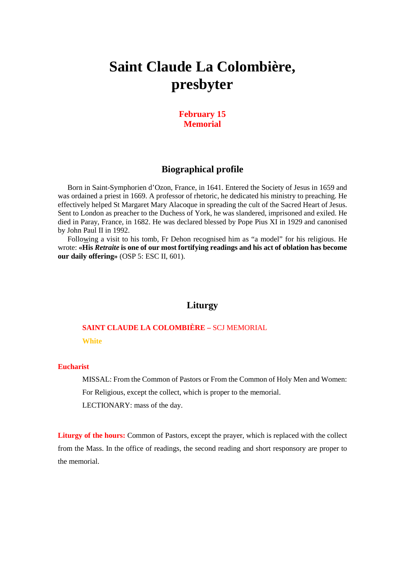# **Saint Claude La Colombière, presbyter**

### **February 15 Memorial**

## **Biographical profile**

Born in Saint-Symphorien d'Ozon, France, in 1641. Entered the Society of Jesus in 1659 and was ordained a priest in 1669. A professor of rhetoric, he dedicated his ministry to preaching. He effectively helped St Margaret Mary Alacoque in spreading the cult of the Sacred Heart of Jesus. Sent to London as preacher to the Duchess of York, he was slandered, imprisoned and exiled. He died in Paray, France, in 1682. He was declared blessed by Pope Pius XI in 1929 and canonised by John Paul II in 1992.

Following a visit to his tomb, Fr Dehon recognised him as "a model" for his religious. He wrote: **«His** *Retraite* **is one of our most fortifying readings and his act of oblation has become our daily offering»** (OSP 5: ESC II, 601).

#### **Liturgy**

## **SAINT CLAUDE LA COLOMBIÈRE –** SCJ MEMORIAL **White**

#### **Eucharist**

MISSAL: From the Common of Pastors or From the Common of Holy Men and Women: For Religious, except the collect, which is proper to the memorial. LECTIONARY: mass of the day.

**Liturgy of the hours:** Common of Pastors, except the prayer, which is replaced with the collect from the Mass. In the office of readings, the second reading and short responsory are proper to the memorial.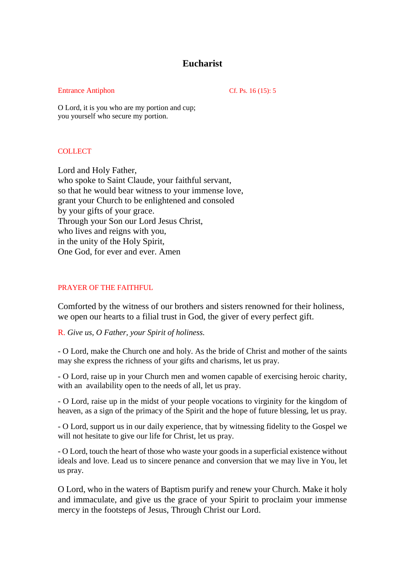## **Eucharist**

#### Entrance Antiphon Cf. Ps. 16 (15): 5

O Lord, it is you who are my portion and cup; you yourself who secure my portion.

#### COLLECT

Lord and Holy Father, who spoke to Saint Claude, your faithful servant, so that he would bear witness to your immense love, grant your Church to be enlightened and consoled by your gifts of your grace. Through your Son our Lord Jesus Christ, who lives and reigns with you, in the unity of the Holy Spirit, One God, for ever and ever. Amen

#### PRAYER OF THE FAITHFUL

Comforted by the witness of our brothers and sisters renowned for their holiness, we open our hearts to a filial trust in God, the giver of every perfect gift.

#### R. *Give us, O Father, your Spirit of holiness.*

- O Lord, make the Church one and holy. As the bride of Christ and mother of the saints may she express the richness of your gifts and charisms, let us pray.

- O Lord, raise up in your Church men and women capable of exercising heroic charity, with an availability open to the needs of all, let us pray.

- O Lord, raise up in the midst of your people vocations to virginity for the kingdom of heaven, as a sign of the primacy of the Spirit and the hope of future blessing, let us pray.

- O Lord, support us in our daily experience, that by witnessing fidelity to the Gospel we will not hesitate to give our life for Christ, let us pray.

- O Lord, touch the heart of those who waste your goods in a superficial existence without ideals and love. Lead us to sincere penance and conversion that we may live in You, let us pray.

O Lord, who in the waters of Baptism purify and renew your Church. Make it holy and immaculate, and give us the grace of your Spirit to proclaim your immense mercy in the footsteps of Jesus, Through Christ our Lord.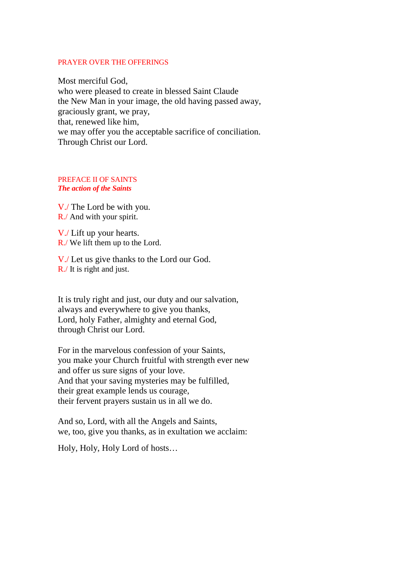#### PRAYER OVER THE OFFERINGS

Most merciful God, who were pleased to create in blessed Saint Claude the New Man in your image, the old having passed away, graciously grant, we pray, that, renewed like him, we may offer you the acceptable sacrifice of conciliation. Through Christ our Lord.

#### PREFACE II OF SAINTS *The action of the Saints*

V./ The Lord be with you. R./ And with your spirit.

V./ Lift up your hearts. R./ We lift them up to the Lord.

V./ Let us give thanks to the Lord our God. R./ It is right and just.

It is truly right and just, our duty and our salvation, always and everywhere to give you thanks, Lord, holy Father, almighty and eternal God, through Christ our Lord.

For in the marvelous confession of your Saints, you make your Church fruitful with strength ever new and offer us sure signs of your love. And that your saving mysteries may be fulfilled, their great example lends us courage, their fervent prayers sustain us in all we do.

And so, Lord, with all the Angels and Saints, we, too, give you thanks, as in exultation we acclaim:

Holy, Holy, Holy Lord of hosts…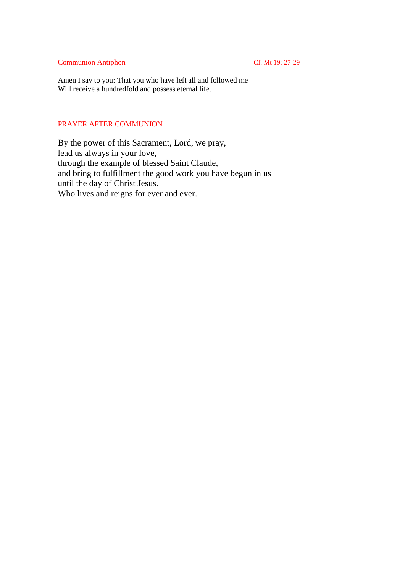#### Communion Antiphon Cf. Mt 19: 27-29

Amen I say to you: That you who have left all and followed me Will receive a hundredfold and possess eternal life.

#### PRAYER AFTER COMMUNION

By the power of this Sacrament, Lord, we pray, lead us always in your love, through the example of blessed Saint Claude, and bring to fulfillment the good work you have begun in us until the day of Christ Jesus. Who lives and reigns for ever and ever.